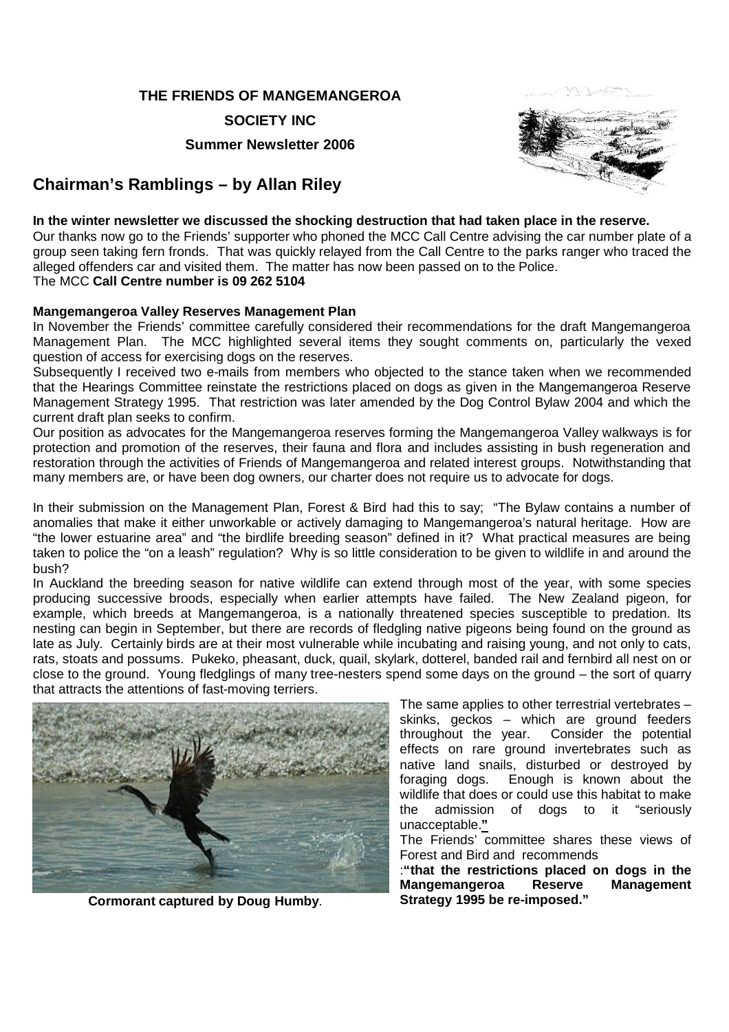#### **THE FRIENDS OF MANGEMANGEROA**

**SOCIETY INC**

**Summer Newsletter 2006**

# **Chairman's Ramblings – by Allan Riley**



#### **In the winter newsletter we discussed the shocking destruction that had taken place in the reserve.**

Our thanks now go to the Friends' supporter who phoned the MCC Call Centre advising the car number plate of a group seen taking fern fronds. That was quickly relayed from the Call Centre to the parks ranger who traced the alleged offenders car and visited them. The matter has now been passed on to the Police. The MCC **Call Centre number is 09 262 5104**

#### **Mangemangeroa Valley Reserves Management Plan**

In November the Friends' committee carefully considered their recommendations for the draft Mangemangeroa Management Plan. The MCC highlighted several items they sought comments on, particularly the vexed question of access for exercising dogs on the reserves.

Subsequently I received two e-mails from members who objected to the stance taken when we recommended that the Hearings Committee reinstate the restrictions placed on dogs as given in the Mangemangeroa Reserve Management Strategy 1995. That restriction was later amended by the Dog Control Bylaw 2004 and which the current draft plan seeks to confirm.

Our position as advocates for the Mangemangeroa reserves forming the Mangemangeroa Valley walkways is for protection and promotion of the reserves, their fauna and flora and includes assisting in bush regeneration and restoration through the activities of Friends of Mangemangeroa and related interest groups. Notwithstanding that many members are, or have been dog owners, our charter does not require us to advocate for dogs.

In their submission on the Management Plan, Forest & Bird had this to say; "The Bylaw contains a number of anomalies that make it either unworkable or actively damaging to Mangemangeroa's natural heritage. How are "the lower estuarine area" and "the birdlife breeding season" defined in it? What practical measures are being taken to police the "on a leash" regulation? Why is so little consideration to be given to wildlife in and around the bush?

In Auckland the breeding season for native wildlife can extend through most of the year, with some species producing successive broods, especially when earlier attempts have failed. The New Zealand pigeon, for example, which breeds at Mangemangeroa, is a nationally threatened species susceptible to predation. Its nesting can begin in September, but there are records of fledgling native pigeons being found on the ground as late as July. Certainly birds are at their most vulnerable while incubating and raising young, and not only to cats, rats, stoats and possums. Pukeko, pheasant, duck, quail, skylark, dotterel, banded rail and fernbird all nest on or close to the ground. Young fledglings of many tree-nesters spend some days on the ground – the sort of quarry that attracts the attentions of fast-moving terriers.



**Cormorant captured by Doug Humby**. **Strategy 1995 be re-imposed."**

The same applies to other terrestrial vertebrates – skinks, geckos – which are ground feeders throughout the year. Consider the potential effects on rare ground invertebrates such as native land snails, disturbed or destroyed by foraging dogs. Enough is known about the wildlife that does or could use this habitat to make the admission of dogs to it "seriously unacceptable.**"**

The Friends' committee shares these views of Forest and Bird and recommends

:**"that the restrictions placed on dogs in the Mangemangeroa Reserve Management**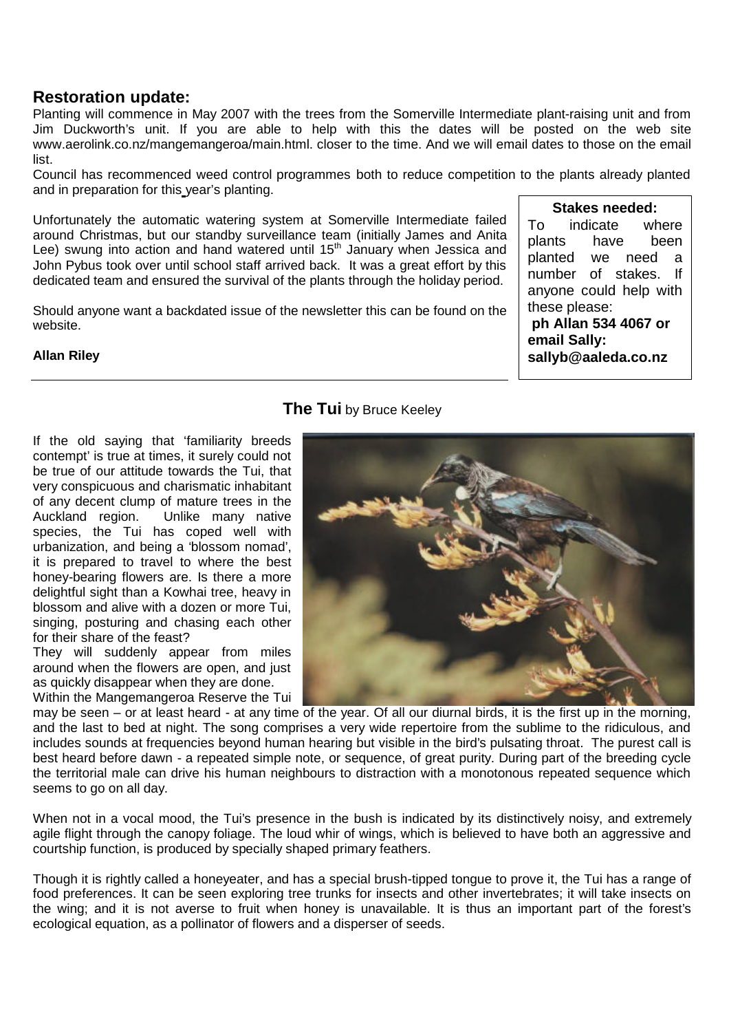## **Restoration update:**

Planting will commence in May 2007 with the trees from the Somerville Intermediate plant-raising unit and from Jim Duckworth's unit. If you are able to help with this the dates will be posted on the web site www.aerolink.co.nz/mangemangeroa/main.html. closer to the time. And we will email dates to those on the email list.

Council has recommenced weed control programmes both to reduce competition to the plants already planted and in preparation for this year's planting.

Unfortunately the automatic watering system at Somerville Intermediate failed around Christmas, but our standby surveillance team (initially James and Anita Lee) swung into action and hand watered until  $15<sup>th</sup>$  January when Jessica and John Pybus took over until school staff arrived back. It was a great effort by this dedicated team and ensured the survival of the plants through the holiday period.

Should anyone want a backdated issue of the newsletter this can be found on the website.

#### **Allan Riley**

### **The Tui** by Bruce Keeley

If the old saying that 'familiarity breeds contempt' is true at times, it surely could not be true of our attitude towards the Tui, that very conspicuous and charismatic inhabitant of any decent clump of mature trees in the Auckland region. Unlike many native species, the Tui has coped well with urbanization, and being a 'blossom nomad', it is prepared to travel to where the best honey-bearing flowers are. Is there a more delightful sight than a Kowhai tree, heavy in blossom and alive with a dozen or more Tui, singing, posturing and chasing each other for their share of the feast?

They will suddenly appear from miles around when the flowers are open, and just as quickly disappear when they are done.

Within the Mangemangeroa Reserve the Tui



**Stakes needed:** To indicate where plants have been planted we need a number of stakes. If anyone could help with

 **ph Allan 534 4067 or**

**sallyb@aaleda.co.nz**

these please:

**email Sally:** 

may be seen – or at least heard - at any time of the year. Of all our diurnal birds, it is the first up in the morning, and the last to bed at night. The song comprises a very wide repertoire from the sublime to the ridiculous, and includes sounds at frequencies beyond human hearing but visible in the bird's pulsating throat. The purest call is best heard before dawn - a repeated simple note, or sequence, of great purity. During part of the breeding cycle the territorial male can drive his human neighbours to distraction with a monotonous repeated sequence which seems to go on all day.

When not in a vocal mood, the Tui's presence in the bush is indicated by its distinctively noisy, and extremely agile flight through the canopy foliage. The loud whir of wings, which is believed to have both an aggressive and courtship function, is produced by specially shaped primary feathers.

Though it is rightly called a honeyeater, and has a special brush-tipped tongue to prove it, the Tui has a range of food preferences. It can be seen exploring tree trunks for insects and other invertebrates; it will take insects on the wing; and it is not averse to fruit when honey is unavailable. It is thus an important part of the forest's ecological equation, as a pollinator of flowers and a disperser of seeds.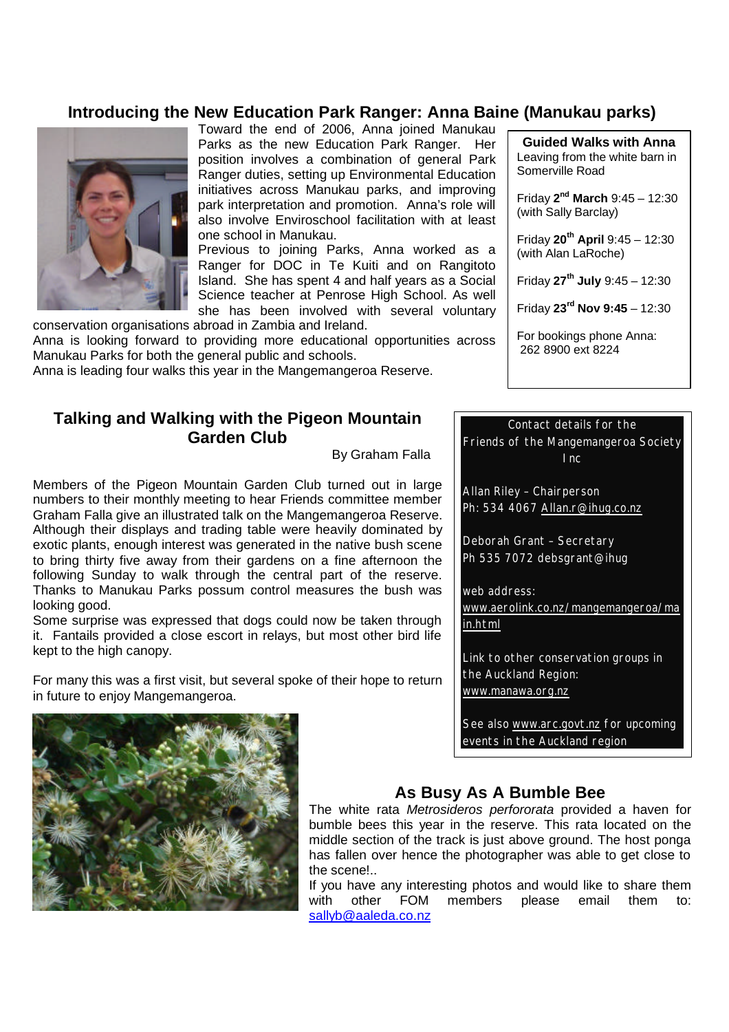## **Introducing the New Education Park Ranger: Anna Baine (Manukau parks)**



Toward the end of 2006, Anna joined Manukau Parks as the new Education Park Ranger. Her position involves a combination of general Park Ranger duties, setting up Environmental Education initiatives across Manukau parks, and improving park interpretation and promotion. Anna's role will also involve Enviroschool facilitation with at least one school in Manukau.

Previous to joining Parks, Anna worked as a Ranger for DOC in Te Kuiti and on Rangitoto Island. She has spent 4 and half years as a Social Science teacher at Penrose High School. As well she has been involved with several voluntary

conservation organisations abroad in Zambia and Ireland. Anna is looking forward to providing more educational opportunities across Manukau Parks for both the general public and schools.

Anna is leading four walks this year in the Mangemangeroa Reserve.

## **Talking and Walking with the Pigeon Mountain Garden Club**

By Graham Falla

Members of the Pigeon Mountain Garden Club turned out in large numbers to their monthly meeting to hear Friends committee member Graham Falla give an illustrated talk on the Mangemangeroa Reserve. Although their displays and trading table were heavily dominated by exotic plants, enough interest was generated in the native bush scene to bring thirty five away from their gardens on a fine afternoon the following Sunday to walk through the central part of the reserve. Thanks to Manukau Parks possum control measures the bush was looking good.

Some surprise was expressed that dogs could now be taken through it. Fantails provided a close escort in relays, but most other bird life kept to the high canopy.

For many this was a first visit, but several spoke of their hope to return in future to enjoy Mangemangeroa.

**Guided Walks with Anna** Leaving from the white barn in Somerville Road

Friday **2 nd March** 9:45 – 12:30 (with Sally Barclay)

Friday **20th April** 9:45 – 12:30 (with Alan LaRoche)

Friday **27th July** 9:45 – 12:30

Friday **23rd Nov 9:45** – 12:30

For bookings phone Anna: 262 8900 ext 8224

### Contact details for the

Friends of the Mangemangeroa Society Inc

Allan Riley – Chairperson Ph: 534 4067 Allan.r@ihug.co.nz

Deborah Grant – Secretary Ph 535 7072 debsgrant@ihug

web address:

www.aerolink.co.nz/mangemangeroa/ma in.html

Link to other conservation groups in the Auckland Region: www.manawa.org.nz

See also www.arc.govt.nz for upcoming events in the Auckland region



## **As Busy As A Bumble Bee**

The white rata *Metrosideros perfororata* provided a haven for bumble bees this year in the reserve. This rata located on the middle section of the track is just above ground. The host ponga has fallen over hence the photographer was able to get close to the scene!..

If you have any interesting photos and would like to share them with other FOM members please email them to: sallyb@aaleda.co.nz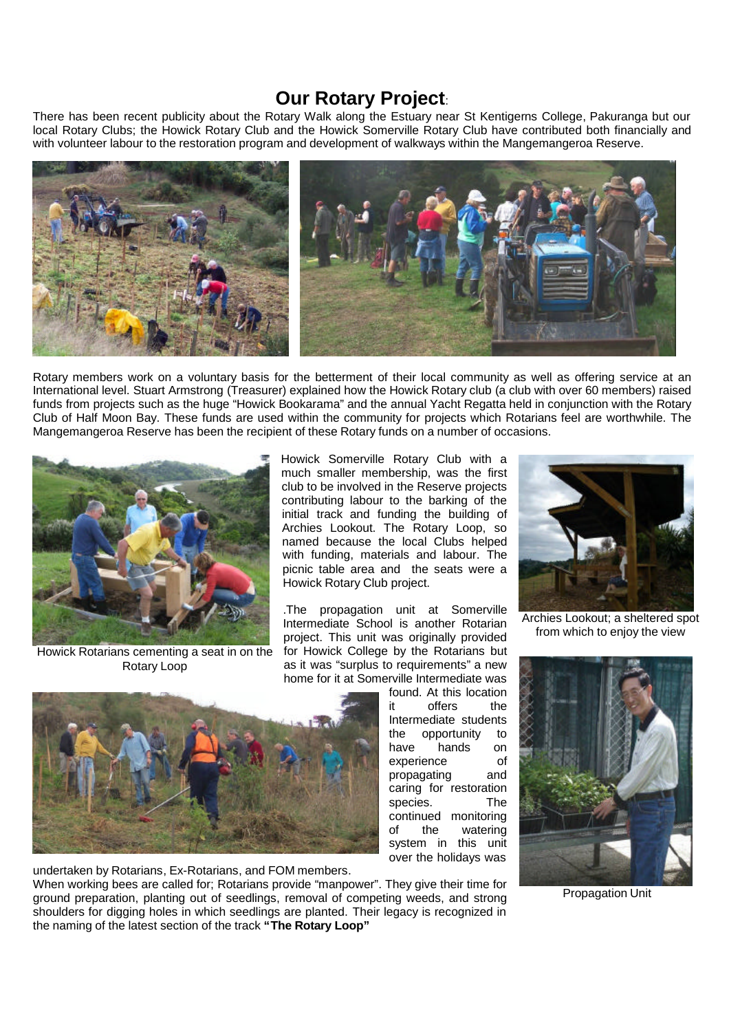## **Our Rotary Project**:

There has been recent publicity about the Rotary Walk along the Estuary near St Kentigerns College, Pakuranga but our local Rotary Clubs; the Howick Rotary Club and the Howick Somerville Rotary Club have contributed both financially and with volunteer labour to the restoration program and development of walkways within the Mangemangeroa Reserve.



Rotary members work on a voluntary basis for the betterment of their local community as well as offering service at an International level. Stuart Armstrong (Treasurer) explained how the Howick Rotary club (a club with over 60 members) raised funds from projects such as the huge "Howick Bookarama" and the annual Yacht Regatta held in conjunction with the Rotary Club of Half Moon Bay. These funds are used within the community for projects which Rotarians feel are worthwhile. The Mangemangeroa Reserve has been the recipient of these Rotary funds on a number of occasions.



Howick Rotarians cementing a seat in on the Rotary Loop

Howick Somerville Rotary Club with a much smaller membership, was the first club to be involved in the Reserve projects contributing labour to the barking of the initial track and funding the building of Archies Lookout. The Rotary Loop, so named because the local Clubs helped with funding, materials and labour. The picnic table area and the seats were a Howick Rotary Club project.

.The propagation unit at Somerville Intermediate School is another Rotarian project. This unit was originally provided for Howick College by the Rotarians but as it was "surplus to requirements" a new home for it at Somerville Intermediate was



undertaken by Rotarians, Ex-Rotarians, and FOM members. When working bees are called for; Rotarians provide "manpower". They give their time for ground preparation, planting out of seedlings, removal of competing weeds, and strong shoulders for digging holes in which seedlings are planted. Their legacy is recognized in the naming of the latest section of the track **"The Rotary Loop"**

found. At this location it offers the Intermediate students the opportunity to have hands on experience of propagating and caring for restoration species. The continued monitoring of the watering system in this unit over the holidays was



Archies Lookout; a sheltered spot from which to enjoy the view



Propagation Unit